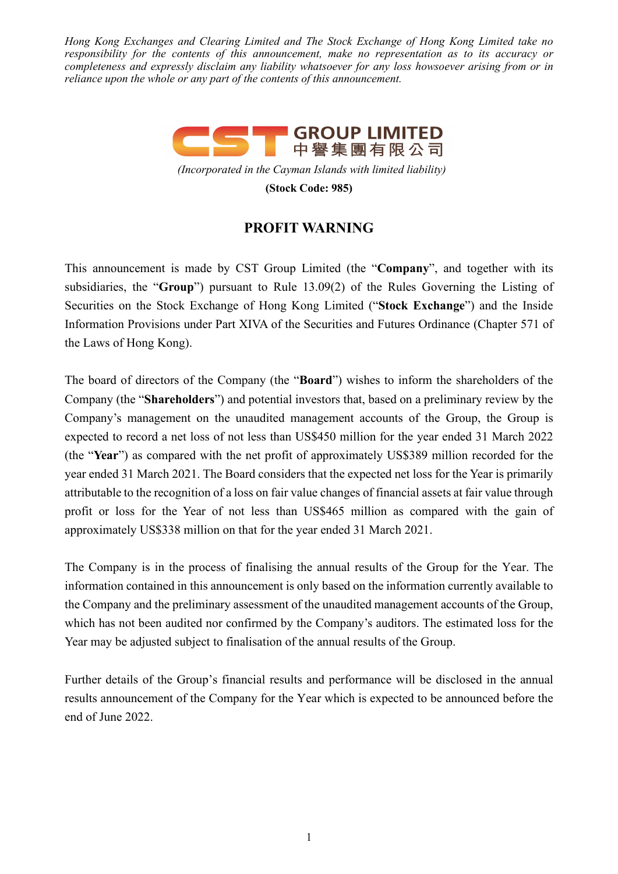*Hong Kong Exchanges and Clearing Limited and The Stock Exchange of Hong Kong Limited take no responsibility for the contents of this announcement, make no representation as to its accuracy or completeness and expressly disclaim any liability whatsoever for any loss howsoever arising from or in reliance upon the whole or any part of the contents of this announcement.*



*(Incorporated in the Cayman Islands with limited liability)*

**(Stock Code: 985)**

## **PROFIT WARNING**

This announcement is made by CST Group Limited (the "**Company**", and together with its subsidiaries, the "**Group**") pursuant to Rule 13.09(2) of the Rules Governing the Listing of Securities on the Stock Exchange of Hong Kong Limited ("**Stock Exchange**") and the Inside Information Provisions under Part XIVA of the Securities and Futures Ordinance (Chapter 571 of the Laws of Hong Kong).

The board of directors of the Company (the "**Board**") wishes to inform the shareholders of the Company (the "**Shareholders**") and potential investors that, based on a preliminary review by the Company's management on the unaudited management accounts of the Group, the Group is expected to record a net loss of not less than US\$450 million for the year ended 31 March 2022 (the "**Year**") as compared with the net profit of approximately US\$389 million recorded for the year ended 31 March 2021. The Board considers that the expected net loss for the Year is primarily attributable to the recognition of a loss on fair value changes of financial assets at fair value through profit or loss for the Year of not less than US\$465 million as compared with the gain of approximately US\$338 million on that for the year ended 31 March 2021.

The Company is in the process of finalising the annual results of the Group for the Year. The information contained in this announcement is only based on the information currently available to the Company and the preliminary assessment of the unaudited management accounts of the Group, which has not been audited nor confirmed by the Company's auditors. The estimated loss for the Year may be adjusted subject to finalisation of the annual results of the Group.

Further details of the Group's financial results and performance will be disclosed in the annual results announcement of the Company for the Year which is expected to be announced before the end of June 2022.